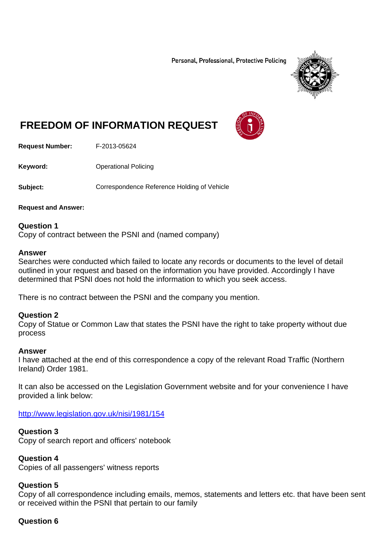Personal, Professional, Protective Policing



# **FREEDOM OF INFORMATION REQUEST**

**Request Number:** F-2013-05624

**Keyword: C**Derational Policing

**Subject:** Correspondence Reference Holding of Vehicle

**Request and Answer:** 

**Question 1**  Copy of contract between the PSNI and (named company)

#### **Answer**

Searches were conducted which failed to locate any records or documents to the level of detail outlined in your request and based on the information you have provided. Accordingly I have determined that PSNI does not hold the information to which you seek access.

There is no contract between the PSNI and the company you mention.

#### **Question 2**

Copy of Statue or Common Law that states the PSNI have the right to take property without due process

#### **Answer**

I have attached at the end of this correspondence a copy of the relevant Road Traffic (Northern Ireland) Order 1981.

It can also be accessed on the Legislation Government website and for your convenience I have provided a link below:

http://www.legislation.gov.uk/nisi/1981/154

#### **Question 3**

Copy of search report and officers' notebook

#### **Question 4**

Copies of all passengers' witness reports

#### **Question 5**

Copy of all correspondence including emails, memos, statements and letters etc. that have been sent or received within the PSNI that pertain to our family

#### **Question 6**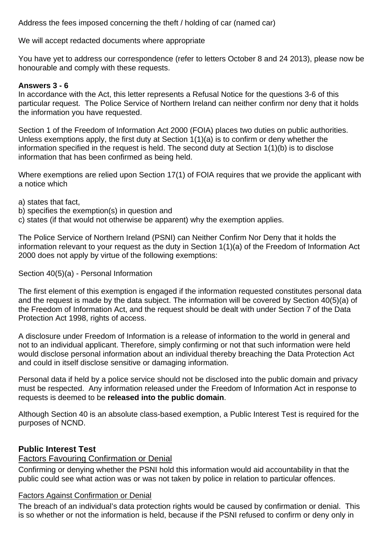Address the fees imposed concerning the theft / holding of car (named car)

We will accept redacted documents where appropriate

You have yet to address our correspondence (refer to letters October 8 and 24 2013), please now be honourable and comply with these requests.

### **Answers 3 - 6**

In accordance with the Act, this letter represents a Refusal Notice for the questions 3-6 of this particular request. The Police Service of Northern Ireland can neither confirm nor deny that it holds the information you have requested.

Section 1 of the Freedom of Information Act 2000 (FOIA) places two duties on public authorities. Unless exemptions apply, the first duty at Section 1(1)(a) is to confirm or deny whether the information specified in the request is held. The second duty at Section 1(1)(b) is to disclose information that has been confirmed as being held.

Where exemptions are relied upon Section 17(1) of FOIA requires that we provide the applicant with a notice which

- a) states that fact,
- b) specifies the exemption(s) in question and
- c) states (if that would not otherwise be apparent) why the exemption applies.

The Police Service of Northern Ireland (PSNI) can Neither Confirm Nor Deny that it holds the information relevant to your request as the duty in Section 1(1)(a) of the Freedom of Information Act 2000 does not apply by virtue of the following exemptions:

Section 40(5)(a) - Personal Information

The first element of this exemption is engaged if the information requested constitutes personal data and the request is made by the data subject. The information will be covered by Section 40(5)(a) of the Freedom of Information Act, and the request should be dealt with under Section 7 of the Data Protection Act 1998, rights of access.

A disclosure under Freedom of Information is a release of information to the world in general and not to an individual applicant. Therefore, simply confirming or not that such information were held would disclose personal information about an individual thereby breaching the Data Protection Act and could in itself disclose sensitive or damaging information.

Personal data if held by a police service should not be disclosed into the public domain and privacy must be respected. Any information released under the Freedom of Information Act in response to requests is deemed to be **released into the public domain**.

Although Section 40 is an absolute class-based exemption, a Public Interest Test is required for the purposes of NCND.

## **Public Interest Test**

# Factors Favouring Confirmation or Denial

Confirming or denying whether the PSNI hold this information would aid accountability in that the public could see what action was or was not taken by police in relation to particular offences.

# Factors Against Confirmation or Denial

The breach of an individual's data protection rights would be caused by confirmation or denial. This is so whether or not the information is held, because if the PSNI refused to confirm or deny only in